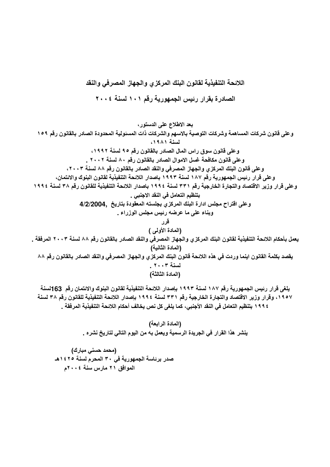يلغي قرار رئيس الجمهورية رقم ١٨٧ لسنة ١٩٩٣ بإصدار اللائحة التنفيذية لقانون البنوك والائتمان رقم 163لسنة ١٩٥٧، وقرار وزير الاقتصاد والتجارة الخارجية رقم ٣٣١ لسنة ١٩٩٤ بإصدار اللائحة التنفيذية للقانون رقم ٣٨ لسنة ٤ ١٩٩ بتنظيم التعامل في النقد الأجنبي، كما يلغي كل نص يخالف أحكام اللائحة التنفيذية المرفقة .

> (المادة الرابعة) ينشر هذا القرار في الجريدة الرسمية ويعمل به من اليوم التالي لتاريخ نشره .

(محمد حسني مبارك) صدر برئاسة الجمهورية في ٣٠ المحرم لسنة ١٤٢٥هـ الموافق ٢١ مارس سنة ٢٠٠٤م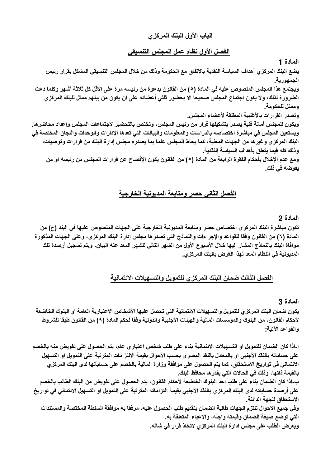# الباب الأولى البنك المركزى

### الفصل الأول نظام عمل المجلس التنسيقي

المادة 1

يضع البنك المركزي أهداف السياسة النقدية بالاتفاق مع الحكومة وذلك من خلال المجلس التنسيقي المشكل بقرار رئيس الجمهورية.

ويجتمع هذا المجلس المنصوص عليه في المادة (٥) من القانون بدعوة من رئيسه مرة على الأقل كل ثلاثة أشهر وكلما دعت الضرورة لذلك، ولا يكون اجتماع المجلس صحيحا الا بحضور ثلثي أعضائه على ان يكون من بينهم ممثل للبنك المركزي وممثل للحكومة.

وتصدر القرارات بالأغلبية المطلقة لأعضاء المجلس.

ويكون للمجلس أمانة فنية يصدر بتشكيلها قرار من رئيس المجلس، وتختص بالتحضير لاجتماعات المجلس وإعداد محاضرها. ويستعين المجلس في مباشرة اختصاصه بالدراسات والمعلومات والبيانات التي تعدها الإدارات والوحدات واللجان المختصة في البنك المركز ى وغير ها من الجهات المعنية، كما يحاط المجلس علما بما يصدره مجلس إدارة البنك من قرارات وتوصيات، وذلك كله فيما يتعلق بأهداف السياسة النقدية.

ومع عدم الإخلال بأحكام الفقرة الرابعة من المادة (٥) من القانون يكون الإفصاح عن قرارات المجلس من رئيسه او من يفوضه في ذلك.

# الفصل الثاني حصر ومتابعة المديونية الخارجية

### المادة 2

تكون مباشرة البنك المركز ، اختصاص حصر ومتابعة المديونية الخارجية على الجهات المنصوص عليها في البند (ح) من المادة (٦) من القانون وفقا للقواعد والإجراءات والنماذج التي تصدرها مجلس إدارة البنك المركزي، وعلى الجهات المذكورة موافاة البنك بالنماذج المشار إليها خلال الأسبوع الأول من الشهر التالي للشهر المعد عنه البيان، ويتم تسجيل أرصدة تلك المديونية في النظام المعد لهذا الغرض بالبنك المركزي.

# الفصل الثالث ضمان البنك المركزى للتمويل والتسهيلات الائتمانية

#### المادة 3

يكون ضمان البنك المركزي للتمويل والتسهيلات الانتمانية التي تحصل عليها الأشخاص الاعتبارية العامة او البنوك الخاضعة لأحكام القانون، من البنوك والموسسات المالية والهيئات الأجنبية والدولية وفقا لحكم المادة (٩) من القانون طبقا للشروط والقواعد الآتية:

ا-اذا كان الضمان للتمويل او التسهيلات الائتمانية بناء على طلب شخص اعتبار ي عام، يتم الحصول على تفويض منه بالخصم على حساباته بالنقد الأجنبي او بالمعادل بالنقد المصري بحسب الأحوال بقيمة الالتزامات المترتبة على التمويل او التسهيل الانتماني في تواريخ الاستحقاق، كما يتم الحصول على موافقة وزارة المالية بالخصم على حساباتها لدى البنك المركزي بالقيمة ذاتها، وذلك في الحالات التي يقدرها محافظ البنك.

ب-اذا كان الضمان بناء على طلب احد البنوك الخاضعة لأحكام القانون، يتم الحصول على تفويض من البنك الطالب بالخصم على أرصدة حساباته لدى البنك المركزي بالنقد الأجنبي بقيمة التزاماته المترتبة على التمويل او التسهيل الائتماني في تواريخ الاستحقاق للجهة الدائنة.

وفي جميع الاحوال تلتزم الجهات طالبة الضمان بتقديم طلب الحصول عليه، مرفقا به موافقة السلطة المختصة والمستندات التى توضع صيغة الضمان وقيمته واجله، والاعباء المتعلقة به ويعرض الطلب على مجلس ادارة البنك المركزي لاتخاذ قرار في شانه.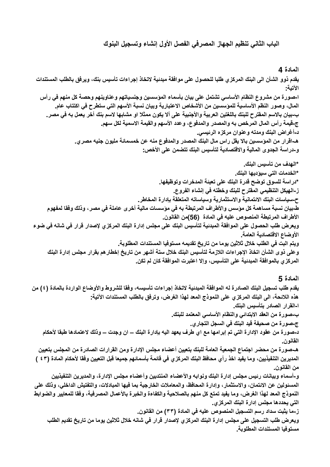# الباب الثاني تنظيم الجهاز المصرفي الفصل الأول إنشاء وتسجيل البنوك

#### المادة 4

يقدم ذوو الشأن الى البنك المركزى طلبا للحصول على موافقة مبدئية لاتخاذ إجراءات تأسيس بنك، ويرفق بالطلب المستندات الآتية: ا-صورة من مشروع النظام الأساسي تشتمل على بيان بأسماء المؤسسين وجنسياتهم وعناوينهم وحصة كل منهم في رأس المال، وصور النظم الأساسية للمؤسسين من الأشخاص الاعتبارية وبيان نسبة الأسهم التي ستطرح في اكتتاب عام. ب-بيان بالاسم المفترح للبنك باللغتين العربية والأجنبية على ألا يكون ممثلا او مشابها لاسم بنك أخر يعمل به في مصر ج-قيمة رأس المال المرخص به والمصدر والمدفوع، وعدد الأسهم والقيمة الاسمية لكل سهم. د-أغراض البنك ومدته وعنوان مركزه الرئيسي. هـ-اقرار من الموسسين بالا يقل راس مال البنك المصدر والمدفوع منه عن خمسمائة مليون جنيه مصري. و-دراسة الجدوى المالية والاقتصادية لتأسيس البنك تتضمن على الأخص: \*الـهدف من تأسيس البِنك\_ \*الخدمات التي سبو ديها البنك\_ \*دراسة للسوق توضح قدرة البنك على تعبئة المدخرات وتوظيفها. ز-الـهيكل التنظيمي المفترح للبنك وخطته في إنشاء الفروع. ح-سياسات البنك الائتمانية والاستثمارية وسياساته المتعلقة بإدارة المخاطر. ط-بيان نسبة مساهمة كل مؤسس والأطراف المرتبطة به في مؤسسات مالية أخرى عاملة في مصر ، وذلك وفقا لمفهوم الأطراف المرتبطة المنصوص عليه في المادة (56)من القانون. ويعرض طلب الحصول على الموافقة المبدئية لتأسيس البنك على مجلس إدارة البنك المركزي لإصدار قرار في شانه في ضوع الأوضاع الاقتصادية العامة. ويتم البت في الطلب خلال ثلاثين يوما من تاريخ تقديمه مستوفيا المستندات المطلوبة. وعلى ذوى الشأن اتخاذ الإجراءات اللازمة لتأسيس البنك خلال ستة أشهر من تاريخ إخطارهم بقرار مجلس إدارة البنك المركز ي بالموافقة المبدئية على التأسيس، وإلا اعتبرت الموافقة كان لم تكن\_

المادة 5

يقدم طلب تسجيل البنك الصادرة له الموافقة المبدئية لاتخاذ إجراءات تأسيسه، وفقا للشروط والأوضاع الواردة بالمادة (٤) من هذه اللائحة، الى البنك المركزي على النموذج المعد لهذا الغرض، وترفق بالطلب المستندات الآتية: ا-القرار الصادر بتأسيس البنك. ب-صورة من العقد الابتدائي والنظام الأساسي المعتمد للبنك. ج-صورة من صحيفة قيد البنك في السجل التجاري. د-صورة من عقود الإدارة التي تم إبرامها مع اي طرف يعهد اليه بإدارة البنك – ان وجدت – وذلك لاعتمادها طبقا لأحكام القانون. هـ-صورة من محضر اجتماع الجمعية العامة للبنك بتعيين أعضاء مجلس الإدارة ومن القرارات الصادرة من المجلس بتعيين المديرين التنفيذيين، وما يفيد اخذ رأي محافظ البنك المركزي في قائمة بأسمائهم جميعا قبل التعيين وفقا لأحكام المادة (٤٣ ) من القانون. و-أسماء وبيانات رئيس مجلس إدارة البنك ونوابه والأعضاء المنتدبين وأعضاء مجلس الإدارة، والمديرين التنفيذيين المسئولين عن الائتمان، والاستثمار، وإدارة المحافظ، والمعاملات الخارجية بما فيها المبادلات، والتفتيش الداخلي، وذلك على النموذج المعد لهذا الغرض، وما يفيد تمتع كل منهم بالصلاحية والكفاءة والخبرة بالأعمال المصرفية، وفقا للمعايير والضوابط التي يحددها مجلس إدارة البنك المركزي. ز\_ما يثبت سداد رسم التسجيل المنصوص عليه في المادة (٣٣) من القانون\_ ويعرض طلب التسجيل على مجلس إدارة البنك المركزي لإصدار قرار في شانه خلال ثلاثين يوما من تاريخ تقديم الطلب

مستوفيا المستندات المطلوبة.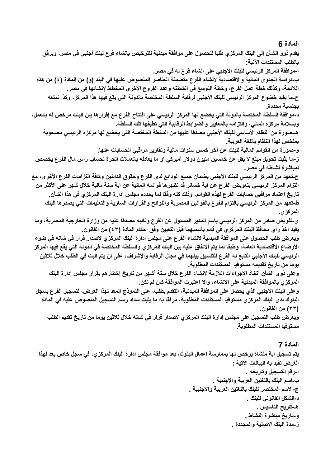يقدم ذوو الشأن إلى البنك المركزي طلبا للحصول على موافقة مبدئية للترخيص بإنشاء فرع لبنك أجنبي في مصر ، ويرفق بالطلب المستندات الآتية: ا-موافقة المركز الرئيسي للبنك الأجنبي على إنشاء فرع له في مصر. ب-دراسة الجدوى المالية والاقتصادية لانشاء الفرع متضمنة العناصر المنصوص عليها في البند (و) من المادة (٤) من هذه اللائحة، وكذلك خطة عمل الفرع، وخطة التوسع في أنشطته وعدد الفروع الأخرى المخطط لإنشائها في مصر. ج-ما يفيد خضوع المركز الرئيسي للبنك الأجنبي لرقابة السلطة المختصة بالدولة التي يقع فيها هذا المركز ، وكذا تمتعه بجنسية محددة. د-موافقة السلطة المختصة بالدولة التي يخضع لها المركز الرئيسي على افتتاح الفرع مع إقرارها بان البنك مرخص له بالعمل، وبسلامة مركزه المالى، والتزامه بالمعايير والضوابط الرقابية التي تطبقها تلك السلطة. هـ-صورة من النظام الأساسي للبنك الأجنبي مصدقا عليها من السلطة المختصة التي يخضع لها مركزه الرئيسي مصحوبة بملخص لهذا النظام باللغة العربية و-صورة من القوائم المالية للبنك عن أخر خمس سنوات مالية وتقارير مراقبي الحسابات عنها. ز ـما يثبت تحويل مبلغ لا يقل عن خمسين مليون دولار أميركي او ما يعادله بالعملات الحرة لحساب راس مال الفرع يخصص لمباشرة نشاطه في مصر. ح-تعهد من المركز الرئيسي للبنك الأجنبي بضمان جميع الودائع لدى الفرع وحقوق الدائنين وكافة التزامات الفرع الأخرى، مع التزام المركز الرئيسي بتعويض الفرع عن اية خسائر قد تظهرها قوائمه المالية عن اية سنة مالية خلال شهر على الأكثر من تاريخ اعتماد مراقبي حسابات الفرع لهذه القوائم، وذلك كله وفقا لما يحدده مجلس إدارة البنك المركزي في هذا الشأن. ط-تعهد من المركز الرئيسي بالتزام الفرع بالقوانين المصرية واللوائح والقرارات السارية والتعليمات التي يصدرها البنك المركزي. ي-تفويض صادر من المركز الرئيسي باسم المدير المسئول عن الفرع ونائبه مصدقا عليه من وزارة الخارجية المصرية، وما يفيد اخذ رأي محافظ البنك المركز ي في قائم باسميهما قبل التعيين وفق أحكام المادة (٤٣) من القانون. ويعرض طلب الحصول على الموافقة المبدئية لانشاء الفرع على مجلس إدارة البنك المركزي لإصدار قرار في شانه في ضوء الأوضاع الاقتصادية العامة، وطبقا لما يتم الاتفاق عليه بين البنك المركزي والسلطة المختصة في الدولة التي يقع فيها المركز الرئيسي للبنك الأجنبي التابع له الفرع للتنسيق بينهما في مجال الرقابة والإشراف، على ان يتم البت في الطلب خلال ثلاثين يوما من تاريخ تقديمه مستوفيا المستندات المطلوبة. وعلى ذوى الشأن اتخاذ الإجراءات اللازمة لانشاء الفرع خلال ستة أشهر من تاريخ إخطارهم بقرار مجلس إدارة البنك المركز ، بالموافقة المبدئية على الإنشاء، وإلا اعتبرت الموافقة كان لم تكن. وعلى البنك الأجنبي الذي يحصل على الموافقة المبدئية، التقدم بطلب، على النموذج المعد لهذا الغرض، لتسجيل الفرع بسجل البنوك لدى البنك المركز ، مستوفيا المستندات المطلوبة، مرفقا به ما يثبت سداد رسم التسجيل المنصوص عليه في المادة (٣٣) من القانون. ويعرض طلب التسجيل على مجلس إدارة البنك المركزي لإصدار قرار في شانه خلال ثلاثين يوما من تاريخ تقديم الطلب مستوفيا المستندات المطلوبة المادة 7

يتم تسجيل اية منشاة يرخص لها بممارسة اعمال البنوك، بعد موافقة مجلس ادارة البنك المركزي، في سجل خاص يعد لهذا الغرض تقيد به البيانات الاتية : ا-رقم التسجيل وتاريخه . ب-اسم البِنك باللغتين العربية والاجنبية . ج-الاسم المختصر للبنك باللغتين العربية والاجنبية . د-الشكل الفانوني للبنك . هـ-تاريخ التاسيس <sub>-</sub> و-تاريخ مباشرة النشاط . ز\_مدة البنك الاصلية والمجددة .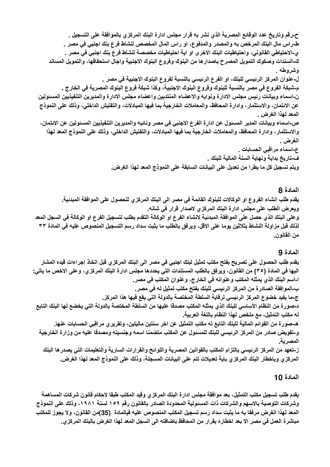ح-رقم وتاريخ عدد الوقائع المصرية الذي نشر به قرار مجلس ادارة البنك المركزي بالموافقة على التسجيل . طـراس مـال البنك المرخص بـ4 والمصدر والمدفوع، او راس المـال المخصص لنشاط فرع بنك اجنبي في مصر . ي-الاحتياطي القانوني، واحتياطيات البنك الاخرى او اية احتياطيات مخصصة لنشاط فرع بنك اجنبي في مصر . ك-السندات وصكوك التمويل المصرح باصدار ها من البنوك وفروع البنوك الاجنبية واجال استحقاقها، والتمويل المساند وشروطه . ل-عنوان المركز الرئيسي للبنك، او الفرع الرئيسي بالنسبة لفروع البنوك الاجنبية في مصر . م-شبكة الفروع في مصر بالنسبة للبنوك وفروع البنوك الاجنبية، وكذا شبكة فروع البنوك المصرية في الخارج . ن-اسماء وبيانات رئيس مجلس الادارة ونوابه والاعضاء المنتدبين واعضاء مجلس الادارة والمديرين التنفيذيين المسئولين عن الانتمان، والاستثمار، وادارة المحافظ، والمعاملات الخارجية بما فيها المبادلات، والتفتيش الداخلي، وذلك على النموذج المعد لـهذا الـغرض . ص-اسماء وبيانات المدير المسئول عن ادارة الفرع الاجنبي في مصر ونائبه والمديرين التنفيذيين المسئولين عن الائتمان، والاستثمار ، وادارة المحافظ، والمعاملات الخارجية بما فيها المبادلات، والتفتيش الداخلي، وذلك على النموذج المعد لهذا الغرض . ع-اسماء مراقبي الحسابات . ف-تاريخ بداية ونهاية السنة المالية للبنك . ويتم تسجيل كل ما يطرا من تعديل على البيانات السابقة على النموذج المعد لهذا الغرض.

#### المادة 8

يقدم طلب انشاء الفروع او الوكالات للبنوك القائمة في مصر الى البنك المركزي للحصول على الموافقة المبدئية. ويعرض الطلب على مجلس ادارة البنك المركزي لاصدار قرار فى شانه. وعلى البنك الذي حصل على الموافقة المبدئية لانشاء الفرع او الوكالة التقدم بطلب لتسجيل الفرع او الوكالة في السجل المعد لذلك قبل مزاولة النشاط بثلاثين يوما على الاقل، ويرفق بالطلب ما يثبت سداد رسم التسجيل المنصوص عليه في المادة ٣٣ من القانون.

### المادة 9

يقدم طلب الحصول على تصريح بفتح مكتب تمثيل لبنك اجنبي في مصر الى البنك المركز ي قبل اتخاذ إجراءات قيده المشار اليها في المادة (٣٥) من القانون، ويرفق بالطلب المستندات التي يحددها مجلس ادارة البنك المركزي، وعلى الاخص ما ياتي: ا-اسم البِنك الذي يمثله المكتب وعنوانه في الخارج، وعنوان المكتب في مصر ـ ب-الموافقة الصادرة من المركز الرئيسي للبنك بفتح مكتب تمثيل له في مصر. ج-ما يفيد خضوع المركز الرئيسي لرقابة السلطة المختصة بالدولة التي يقع فيها هذا المركز. د-صورة من النظام الأساسي للبنك الذي يمثله المكتب مصدقا عليها من السلطة المختصة بالدولة التي يخضع لها البنك التابع له مكتب التمثيل، مع ملخص لهذا النظام باللغة العربية. هـحمورة من القوائم المالية للبنك التابع له مكتب التمثيل عن اخر سنتين ماليتين، وتقريري مراقبى الحسابات عنها. و-تفويض صادر من المركز الرئيسي للبنك للمسئول عن المكتب متضمنا اسمه وجنسيته ومصدقا عليه من وزارة الخارجية المصر ية ِ ز-تعهد من المركز الرئيسي بالتزام المكتب بالقوانين المصرية واللوائح والقرارات السارية والتعليمات التي يصدرها البنك المركزي وباخطار البنك المركزي باية تعديلات تتم على البيانات المسجلة، وذلك على النموذج المعد لهذا الغرض.

### المادة 10

يقدم طلب تسجيل مكتب التمثيل، بعد موافقة مجلس ادارة البنك المركزي وقيد المكتب طبقا لاحكام قانون شركات المساهمة وشركات التوصية بالاسهم والشركات ذات المسئولية المحدودة الصادر بالقانون رقم ١٥٩ لسنة ١٩٨١، وذلك على النموذج المعد لهذا الغرض مرفقا به ما يثبت سداد رسم تسجيل المكتب المنصوص عليه فيالمادة (35)من القانون، ولا يجوز للمكتب مباشرة العمل في مصر الا بعد اخطاره بقرار من المحافظ باضافته الى السجل المعد لهذا الغرض بالبنك المركزي.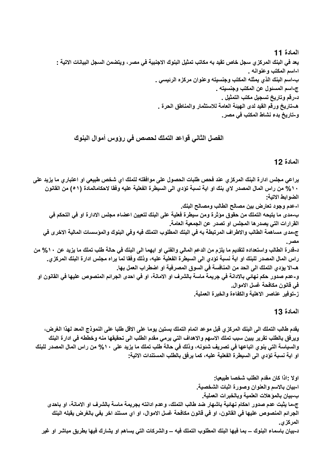المادة 11 يعد في البنك المركز ي سجل خاص تقيد به مكاتب تمثيل البنوك الاجنبية في مصر ، ويتضمن السجل البيانات الاتية : ا-اسم المكتب وعنوانه . ب-اسم البنك الذي يمثله المكتب وجنسيته وعنوان مركزه الرئيسي . ج-اسم المسئول عن المكتب وجنسيته . د-رقم وتاريخ تسجيل مكتب التمثيل . هـ-تاريخ ورقم القيد لدى الهيئة العامة للاستثمار والمناطق الحرة . و-تاريخ بدء نشاط المكتب في مصر ـ

الفصل الثاني قواعد التملك لحصص في رؤوس أموال البنوك

المادة 12

يراعي مجلس ادارة البنك المركزي عند فحص طلبات الحصول على موافقته لتملك اي شخص طبيعي او اعتباري ما يزيد على ١٠% من راس المال المصدر لاي بنك او اية نسبة تؤدي الى السيطرة الفعلية عليه وفقا لاحكامالمادة (٥١) من القانون الضوابط الاتية: ا-عدم وجود تعارض بين مصالح الطالب ومصالح البنك. ب-مدى ما يتيحه التملك من حقوق موَثرة ومن سيطرة فعلية على البنك لتعيين اعضاء مجلس الادارة او في التحكم في القرارات التي يصدرها المجلس او تصدر عن الجمعية العامة. ج-مدى مساهمة الطالب والاطراف المرتبطة به في البنك المطلوب التملك فيه وفي البنوك والمؤسسات المالية الاخرى في مصر د-قدرة الطالب واستعداده لتقديم ما يلزم من الدعم المالي والفني او ايهما الى البنك في حالة طلب تملك ما يزيد عن ١٠% من راس المال المصدر للبنك او اية نسبة تؤدي الى السيطرة الفعلية عليه، وذلك وفقا لما يراه مجلس ادارة البنك المركزي. هـ-الا يؤدي التملك الى الحد من المنافسة في السوق المصرفية او اضطراب العمل بها. و-عدم صدور حكم نهائي بالادانة في جريمة ماسة بالشرف او الامانة، او في احدى الجرائم المنصوص عليها في القانون او في قانون مكافحة غسل الاموال. ز-توفير عناصر الاهلية والكفاءة والخبرة العملية.

المادة 13

يقدم طالب التملك الى البنك المركزي قبل موعد اتمام التملك بستين يوما على الاقل طلبا على النموذج المعد لهذا الغرض، ويرفق بالطلب تقرير يبين سبب تملك الاسهم والاهداف التي يرمي مقدم الطلب الي تحقيقها منه وخططه في ادارة البنك والسياسة التي ينوي اتباعها في تصريف شئونـه، وذلك في حالـة طلب تملك ما يزيد علي ١٠% من راس المال المصدر للبنك او اية نسبة تؤدي الى السيطرة الفعلية عليه، كما يرفق بالطلب المستندات الاتية-

اولا : إذا كان مقدم الطلب شخصا طبيعيا: ا-بيان بالاسم والعنوان وصورة اثبات الشخصية. ب-بيان بالمؤهلات العلمية وبالخبرات العملية. ج-ما يثبت عدم صدور احكام نهائية باشهار ضد طالب التملك، وعدم ادانته بجريمة ماسة بالشرف او الامانة، او باحدى الجرائم المنصوص عليها في القانون، او في قانون مكافحة غسل الاموال، او اي مستند اخر يفي بالغرض يقبله البنك المركزي. د-بيان باسماء البنوك – بما فيها البنك المطلوب التملك فيه – والشركات التي يساهم او يشارك فيها بطريق مباشر او غير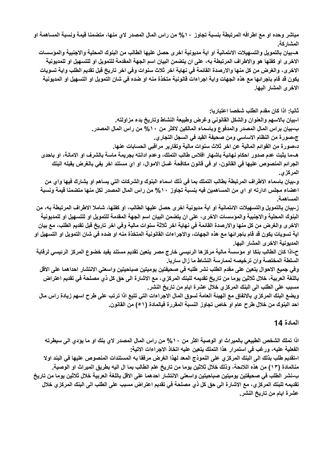مباشر وحده او مع اطرافه المرتبطة بنسبة تجاوز ١٠% من راس المال المصدر لاى منها، متضمنا قيمة ونسبة المساهمة او المشاركة.

هـ-بيان بالتمويل والتسهيلات الائتمانية او اية مديونية اخرى حصل عليها الطالب من البنوك المحلية والاجنبية والمؤسسات الاخر ي او كفلها هو والاطراف المرتبطة به، على ان يتضمن البيان اسم الجهة المقدمة للتمويل او للتسهيل او للمديونية الاخرى، والغرض من كل منها والارصدة القائمة في نهاية اخر ثلاث سنوات وفي اخر تاريخ قبل تقديم الطلب واية تسويات يكون قد قام باجرائها مع هذه الجهات واية اجراءات قانونية متخذة منه او ضده في شان التمويل او التسهيل او المديونية الاخرى المشار اليها.

ثانيا: اذا كان مقدم الطلب شخصا اعتباريا: ا-بيان بالاسهم والعنوان والشكل القانوني وغرض وطبيعة النشاط وتاريخ بدء مزاولته. ب-بيان براس المال المصدر والمدفوع وباسماء المالكين لاكثر من ١٠% من راس المال المصدر . ج-صورة من النظام الاساسي ومن صحيفة القيد في السجل التجاري. د-صور ة من القوائم المالية عن اخر ثلاث سنوات مالية وتقارير مراقبي الحسابات عنها. هــما يثبت عدم صدور احكام نـهائيـة باشـهار افلاس طالب التملك، وعدم ادانته بـجريمـة ماسـة بالشرف او الامانـة، او بـاحدى الجرائم المنصوص عليها في القانون، او في قانون مكافحة غسل الاموال، او اي مستند اخر يفي بالغرض يقبله البنك المركز ي. و-بيان باسماء الاطراف المرتبطة بطالب التملك بما في ذلك اسماء البنوك والشركات التي يساهم او يشارك فيها واي من اعضاء مجلس ادارته او اي من المساهمين فيه بنسبة تجاوز ١٠% من راس المال المصدر لكل منها متضمنا قيمة ونسبة المساهمة ز-بيان بالتمويل والتسهيلات الائتمانية او اية مديونية اخرى حصل عليها الطالب، او كفلها، شاملا الاطراف المرتبطة به، من البنوك المحلية والاجنبية والمؤسسات الاخرى، على ان يتضمن البيان اسم الجهة المقدمة للتمويل او للتسهيل او للمديونية الاخر ، والغرض من كل منها والارصدة القائمة في نهاية اخر ثلاثة سنوات مالية وفي اخر تاريخ قبل تقديم الطلب، مع بيان اية تسويات يكون قد قام باجرائها مع هذه الجهات، والاجراءات القانونية المتخذة منه او ضده في شان التمويل او التسهيل او المديونية الاخرى المشار اليها. ح-اذا كان الطالب بنكا او مؤسسة مالية مركز ها الرئيسي خارج مصر يتعين تقديم مستند يفيد خضوع المركز الرئيسي لرقابة السلطة المختصة وان ترخيصه لممارسة النشاط ما زال ساريا.

وفي جميع الاحوال يتعين على مقدم الطلب نشر طلبه في صحيفتين يوميتين صباحيتين واسعتي الانتشار احداهما على الاقل باللغة العربية، خلال ثلاثين يوما من تاريخ تقديمه للبنك المركزي، مع الاشارة الى حق كل ذي مصلحة في تقديم اعتراض مسبب على الطلب الى البنك المركزي خلال عشرة ايام من تاريخ النشر .

ويضع البنك المركزي بالاتفاق مع الهيئة العامة لسوق المال الاجراءات التي تتبع اذا ترتب على طرح اسهم زيادة راس مال احد البنوك من خلال طرح عام او خاص تجاوز النسبة المقررة فيالمادة (٥١) من القانون.

### المادة 14

اذا تملك الشخص الطبيعي بالميراث او الوصية اكثر من ١٠% من راس المال المصدر لاي بنك او ما يؤدي الى سيطرته الفعلية عليه، ورغب في استمرار هذا التملك يتعين عليه اتخاذ الاجراءات الاتية: ا-تقديم طلب بذلك الى البنك المركز ى على النموذج المعد لهذا الغرض مرفقا به المستندات المنصوص عليها في البند اولا منالمادة (١٣) من هذه اللائحة، وذلك خلال ثلاثين يوما من تاريخ علم الطالب بما ال اليه بطريق الميراث او الوصية. ب-نشر الطلب في صحيفتين يوميتين صباحيتين واسعتي الانتشار احدهما على الاقل باللغة العربية خلال ثلاثين يوما من تاريخ تقديمه للبنك المركزي، مع الاشارة الى حق كل ذي مصلحة في تقديم اعتراض مسبب على الطلب الى البنك المركزي خلال عشر ة ابام من تار بخ النشر .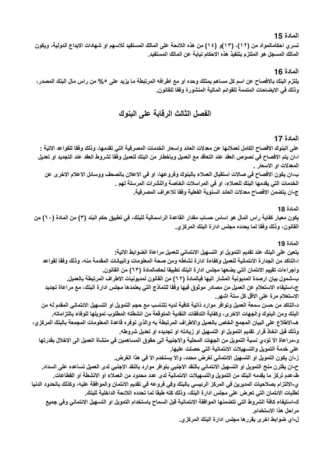تسرى احكامالمواد من (١٢)، (١٣)و (١٤) من هذه اللائحة على المالك المستفيد للاسهم او شهادات الإيداع الدولية، ويكون المالك المسجل هو الملتزم بتنفيذ هذه الاحكام نيابة عن المالك المستفيد.

#### المادة 16

يلتزم البنك بالافصاح عن اسم كل مساهم يمتلك وحده او مع اطرافه المرتبطة ما يزيد على ٥% من راس مال البنك المصدر ، وذلك في الايضاحات المتممة للقوائم المالية المنشورة وفقا للقانون.

# الفصل الثالث الرقابة على البنوك

#### المادة 17

على البنوك الافصاح الكامل لعملائها عن معدلات العائد واسعار الخدمات المصرفية التي تقدمها، وذلك وفقا للقواعد الاتية : ا-ان يتم الافصاح في نصوص العقد عند التعاقد مع العميل وباخطار من البنك للعميل وفقا لشروط العقد عند التجديد او تعديل المعدلات او الاسعار .

ب-ان يكون الافصاح في صالات استقبال العملاء بالبنوك وفروعها، او في الاعلان بالصحف ووسائل الاعلام الاخرى عن الخدمات التي يقدمها البنك للعملاء، او في المراسلات الخاصة والنشرات المرسلة لهم . ج-ان يتضمن الافصاح معدلات العائد السنوية الفعلية وفقا للاعراف المصرفية.

#### المادة 18

يكون معيار كفاية راس المال هو اساس حساب مقدار القاعدة الراسمالية للبنك، في تطبيق حكم البند (٣) من المادة (٦٠) من القانون، وذلك وفقا لما يحدده مجلس ادارة البنك المركزي.

#### المادة 19

يتعين على البنك عند تقديم التمويل او التسهيل الائتماني للعميل مراعاة الضوابط الاتية: ا-التاكد من الجدارة الائتمانية للعميل وكفاءة ادارة نشاطه ومن صحة المعلومات والبيانات المقدمة منه، وذلك وفقا لقواعد واجراءات تقييم الائتمان التي يضعها مجلس ادارة البنك تطبيقا لحكمالمادة (٦٣) من القانون. ب-شمول بيان ارصدة المديونية المشار اليها فيالمادة (٢٢) من القانون لمديونيات الاطراف المرتبطة بالعميل. ج-استيفاء الاستعلام عن العميل من مصادر موثوق فيها وفقا للنماذج التي يعتمدها مجلس ادارة البنك، مع مراعاة تجديد الاستعلام مرة على الاقل كل ستة اشهر ـ د-التاكد من حسن سمعة العميل وتوافر موارد ذاتية كافية لديه تتناسب مع حجم التمويل او التسهيل الانتماني المقدم له من البنك ومن البنوك والجهات الاخرى، وكفاية التدفقات النقدية المتوقعة من انشطته المطلوب تمويلها للوفاء بالتزاماته. هـ-الاطلاع على البيان المجمع الخاص بالعميل والاطراف المرتبطة به والذي توفره قاعدة المعلومات المجمعة بالبنك المركزي، وذلك قبل اتخاذ قرار تقديم التمويل او التسهيل او زيادته او تجديده او تعديل شروطه. و-مراعاة الا تؤدي نسبة التمويل من الجهات المحلية والاجنبية الى حقوق المساهمين في منشاة العميل الى الاخلال بقدرتها على خدمة التمويل والتسهيلات الائتمانية التى حصلت عليها. ز-ان يكون التمويل او التسهيل الائتماني لغرض محدد، والا يستخدم الا في هذا الغرض. ح-ان يقترن منح التمويل او التسهيل الائتماني بالنقد الاجنبي بتوافر موارد بالنقد الاجنبى لدى العميل تساعده على السداد. ط-عدم تركز ما يقدمه البنك من التمويل والتسهيلات الائتمانية لدى عدد محدود من العملاء او الانشطة او القطاعات. ى-الالتزام بصلاحيات المديرين في المركز الرئيسي بالبنك وفي فروعه في تقديم الائتمان والموافقة عليه، وكذلك بالحدود الدنيا لطلبات الائتمان التي تعرض على مجلس ادارة البنك، وذلك كله طبقا لما تحدده اللائحة الداخلية للبنك. ك-استيفاء كافة الشروط التي تتضمنها الموافقة الانتمانية قبل السماح باستخدام التمويل او التسهيل الانتماني وفي جميع مراحل هذا الاستخدام.

ل-اي ضوابط اخرى يقررها مجلس ادارة البنك المركزى.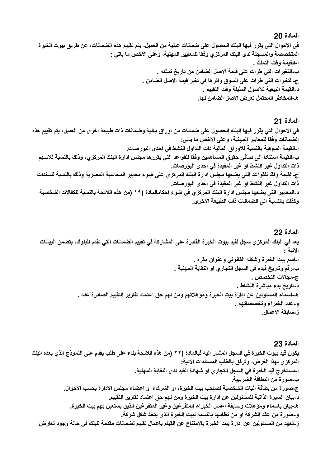في الاحوال التي يقرر فيها البنك الحصول على ضمانات عينية من العميل، يتم تقييم هذه الضمانات، عن طريق بيوت الخبرة المتخصصة والمسجلة لدى البِنك المركز ، وفقا للمعايير المهنية، وعلى الاخص ما ياتي : ا-القيمة وقت التملك . ب-التغيرات التي طرات على قيمة الاصل الضامن من تاريخ تملكه . ج-التغيرات التي طرات على السوق واثرها في تغير قيمة الاصل الضامن . د-القيمة البيعية للاصول المثيلة وقت التقييم . هـ-المخاطر المحتمل تعرض الاصل الضامن لها.

#### المادة 21

في الاحوال التي يقرر فيها البنك الحصول على ضمانات من اوراق مالية وضمانات ذات طبيعة اخرى من العميل، يتم تقييم هذه الضمانات وفقا للمعايير المهنية، وعلى الاخص ما ياتي: ا-القيمة السوقية بالنسبة للاوراق المالية ذات التداول النشط في احدى البورصات. ب-القيمة استنادا الى صافى حقوق المساهمين وفقا للقواعد التي يقررها مجلس ادارة البنك المركزي، وذلك بالنسبة للاسهم ذات التداول غير النشط او غير المقيدة في احدى البورصات. ج-القيمة وفقا للقواعد التي يضعها مجلس ادارة البنك المركزي على ضوء معايير المحاسبة المصرية وذلك بالنسبة للسندات ذات التداول غير النشط او غير المقيدة في احدى البورصات. د-المعايير التي يضعها مجلس ادارة البنك المركزي في ضوع احكامالمادة (١٩ (من هذه اللائحة بالنسبة للكفالات الشخصية وكذلك بالنسبة الى الضمانات ذات الطبيعة الاخرى.

المادة 22 يعد في البنك المركز ي سجل لقيد بيوت الخبر ة القادر ة على المشاركة في تقييم الضمانات التي تقدم للبنوك، يتضمن البيانات الاتبة : ا-اسم بيت الخبرة وشكله القانوني وعنوان مقره . ب-رقم وتاريخ قيده في السجل التجاري او النقابة المهنية . ج-مجالات التخصص . د-تاريخ بدء مباشرة النشاط . هـ-اسماء المسئولين عن ادارة بيت الخبرة ومؤهلاتهم ومن لهم حق اعتماد تقارير التقييم الصادرة عنه . و-عدد الخبراء وتخصصاتهم . ز-سابقة الاعمال.

المادة 23 يكون قيد بيوت الخبرة في السجل المشار اليه فيالمادة (٢٢ (من هذه اللائحة بناء على طلب يقدم على النموذج الذي يعده البنك المركز ي لهذا الغرض، وترفق بالطلب المستندات الاتية: ا-مستخرج فيد الخبرة في السجل التجاري او شهادة القيد لدى النقابة المهنية. ب-صورة من البطاقة الضريبية\_ ج\_صورة من بطاقة اثبات الشخصية لصاحب بيت الخبرة، او الشركاء او اعضاء مجلس الادارة بحسب الاحوال. د-بيان السير ة الذاتية للمسئولين عن ادار ة بيت الخبر ة ومن لهم حق اعتماد تقارير التقييم. هـ-بيان باسماء وموَهلات وسابقة اعمال الخبراء المتفرغين وغير المتفرغين الذين يستعين بهم بيت الخبرة. و-صورة من عقد الشركة او من نظامها بالنسبة لبيت الخبرة الذي يتخذ شكل شركة. ز-تعهد من المسئولين عن ادار ة بيت الخبر ة بالامتناع عن القيام باعمال تقييم لضمانات مقدمة للبنك في حالة وجود تعارض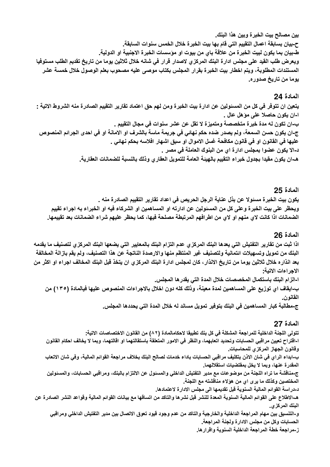بين مصالح بيت الخبرة وبين هذا البنك\_ ح-بيان بسابقة اعمال التقييم التى قام بها بيت الخبرة خلال الخمس سنوات السابقة. ط-بيان بما يكون لبيت الخبر ة من علاقة باي من بيوت او مؤسسات الخبر ة الاجنبية او الدولية. ويعرض طلب القيد على مجلس ادارة البنك المركزي لاصدار قرار في شانه خلال ثلاثين يوما من تاريخ تقديم الطلب مستوفيا المستندات المطلوبة، ويتم اخطار بيت الخبرة بقرار المجلس بكتاب موصى عليه مصحوب بعلم الوصول خلال خمسة عشر يوما من تاريخ صدوره.

#### المادة 94

يتعين ان تتوفَّر في كل من المسئولين عن ادارة بيت الخبرة ومن لهم حق اعتماد تقارير التقييم الصادرة منه الشروط الاتية : ا-ان يكون حاصلا على مؤهل عال . ب-ان تكون له مدة خبرة متخصصة ومتميزة لا تقل عن عشر سنوات في مجال التقييم . ج-ان يكون حسن السمعة، ولم يصدر ضده حكم نهائي في جريمة ماسة بالشرف او الامانة او في احدى الجرائم المنصوص عليها في القانون او في قانون مكافحة غسل الاموال او سبق اشهار افلاسه بحكم نهائي . د-الا يكون عضوا بمجلس ادارة اي من البنوك العاملة في مصر .

هـ-ان يكون مقيدا بجدول خبراء التقييم بالهيئة العامة للتمويل العقاري وذلك بالنسبة للضمانات العقارية.

### المادة 25

يكون بيت الخبر ة مسئو لا عن بذل عناية الرجل الحريص في اعداد تقارير التقييم الصادر ة منه . ويحظر على بيت الخبرة وعلى كل من المسئولين عن ادارته او المساهمين او الشركاء فيه او الخبراء به اجراء تقييم الضمانات اذا كانت لاى منهم او لاى من اطرافهم المرتبطة مصلحة فيها، كما يحظر عليهم شراع الضمانات بعد تقييمها.

### المادة 26

اذا ثبت من تقارير التفتيش التي يعدها البنك المركزي عدم التزام البنك بالمعايير التي يضعها البنك المركزي لتصنيف ما يقدمه البنك من تمويل وتسهيلات ائتمانية ولتصنيف غير المنتظم منها والارصدة الناتجة عن هذا التصنيف، ولم يقم بازالة المخالفة بعد انذاره خلال ثلاثين يوما من تاريخ الانذار، كان لمجلس ادارة البنك المركز ى ان يتخذ قبل البنك المخالف اجراء او اكثر من الاجراءات الاتية:

ا-الزام البنك باستكمال المخصصات خلال المدة التي يقدرها المجلس. ب-ايقاف اي توزيع على المساهمين لمدة معينة، وذلك كله دون اخلال بالاجراءات المنصوص عليها فيالمادة (١٣٥) من القانون.

ج-مطالبة كبار المساهمين في البنك بتوفير تمويل مساند له خلال المدة التي يحددها المجلس.

### المادة 27

تتولى اللجنة الداخلية للمراجعة المشكلة في كل بنك تطبيقا لاحكامالمادة (٨٢) من القانون الاختصاصات الاتية: ا-اقتراح تعيين مراقبي الحسابات وتحديد اتعابهما، والنظر في الامور المتعلقة باستقالتهما او اقالتهما، وبما لا يخالف احكام القانون وفانون الجهاز المركزى للمحاسبات. ب-ابداء الراي في شان الاذن بتكليف مراقبي الحسابات باداء خدمات لصالح البنك بخلاف مراجعة القوائم المالية، وفي شان الاتعاب المقدرة عنها، وبما لا يخل بمقتضيات استقلالهما. ج-مناقشة ما تراه اللجنة من موضوعات مع مدير التفتيش الداخلي والمسئول عن الالتزام بالبنك، ومراقبي الحسابات، والمسئولين المختصين وكذلك ما يرى اي من هؤلاء مناقشته مع اللجنة. د-دراسة القوائم المالية السنوية قبل تقديمها الى مجلس الادارة لاعتمادها. هـ-الاطلاع على القوائم المالية السنوية المعدة للنشر قبل نشرها والتاكد من اتساقها مع بيانات القوائم المالية وقواعد النشر الصادرة عن البنك المركز *ي*. و-التنسيق بين مهام المراجعة الداخلية والخارجية والتاكد من عدم وجود فيود تعوق الاتصال بين مدير التفتيش الداخلي ومراقبي الحسابات وكل من مجلس الادارة ولجنة المراجعة. ز-مراجعة خطة المراجعة الداخلية السنوية واقرارها.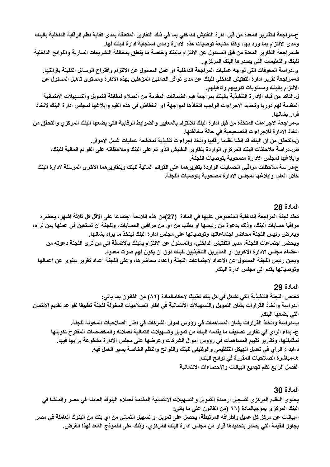ح-مراجعة التقارير المعدة من قبل ادارة التفتيش الداخلي بما في ذلك التقارير المتعلقة بمدى كفاية نظم الرقابة الداخلية بالبنك ومدى الالتزام بما ورد بها، وكذا متابعة توصيات هذه الادارة ومدى استجابة ادارة البنك لها.

طـمراجعة التقارير المعدة من قبل المسئول عن الالتزام بالبنك وخاصة ما يتعلق بمخالفة التشريعات السارية واللوائح الداخلية للبنك والتعليمات التي يصدر ها البنك المركزي.

ي-دراسة المعوقات التي تواجه عمليات المراجعة الداخلية او عمل المسئول عن الالتزام وافتراح الوسائل الكفيلة بازالتها. ك-مراجعة تقرير ادارة التفتيش الداخلي للبنك عن مدى توافر العاملين المؤهلين بهذه الادارة ومستوى تاهيل المسئول عن الالتزام بالبنك ومستويات تدريبهم وتاهيلهم

ل-التاكد من قيام الادارة التنفيذية بالبنك بمراجعة قيم الضمانات المقدمة من العملاء لمقابلة التمويل والتسهيلات الائتمانية المقدمة لهم دوريا وتحديد الاجراءات الواجب اتخاذها لمواجهة اي انخفاض في هذه القيم وابلاغها لمجلس ادارة البنك لاتخاذ قرار بشانها.

م-مراجعة الاجراءات المتخذة من قبل ادارة البنك للالتزام بالمعايير والضوابط الرقابية التي يضعها البنك المركزي والتحقق من اتخاذ الادارة للاجراءات التصحيحية في حالة مخالفتها.

ن-التحقق من ان البنك قد انشا نظاما رقابيا واتخذ اجراءات تنفيذية لمكافحة عمليات غسل الاموال. ص-دراسة ملاحظات البنك المركز ي الواردة بتقارير التفتيش الذي تم على البنك وملاحظاته على القوائم المالية للبنك، وابلاغها لمجلس الادارة مصحوبة بتوصيات اللجنة

ع-دراسة ملاحظات مراقبي الحسابات الواردة بتقرير هما على القوائم المالية للبنك وبتقارير هما الاخرى المرسلة لادارة البنك خلال العام، وابلاغها لمجلس الادارة مصحوبة بتوصيات اللجنة.

# المادة 28

تعقد لجنة المراجعة الداخلية المنصوص عليها في المادة (27)من هذه اللائحة اجتماعا على الاقل كل ثلاثة اشهر، يحضره مراقبا حسابات البنك، وذلك بدعوة من رئيسها او بطلب من اي من مراقبي الحسابات، وللجنة ان تستعين في عملها بمن تراه، ويعرض رئيس اللجنة محاضر اجتماعاتها وتوصياتها على مجلس ادارة البنك ليتخذ ما يراه بشانها. ويحضر اجتماعات اللجنة، مدير التفتيش الداخلي، والمسئول عن الالتزام بالبنك بالاضافة الى من ترى اللجنة دعوته من اعضاء مجلس الادارة الاخرين او المديرين التنفيذيين للبنك دون ان يكون لهم صوت معدود. ويعين رئيس اللجنة المسئول عن الاعداد لاجتماعات اللجنة واعداد محاضرها، وعلى اللجنة اعداد تقرير سنوي عن اعمالها وتوصياتها يقدم الى مجلس ادارة البنك.

# المادة 29

تختص اللجنة التنفيذية التي تشكل في كل بنك تطبيقا لاحكامالمادة (٨٢) من القانون بما ياتي: ا-دراسة واتخاذ القرارات بشان التمويل والتسهيلات الانتمانية في اطار الصلاحيات المخولة للجنة تطبيقا لقواعد تقديم الانتمان التي يضعها البنك. ب-دراسة واتخاذ القرارات بشان المساهمات في رووس اموال الشركات في اطار الصلاحيات المخولة للجنة. ج-ابداء الراي في تقارير تصنيف ما يقدمه البنك من تمويل وتسهيلات ائتمانية لعملائه والمخصصات المفترح تكوينها لمقابلتها، وتقارير تقييم المساهمات في رووس اموال الشركات وعرضها على مجلس الادارة مشفوعة برايها فيها. د-ابداء الراي في تعديل الهيكل التنظيمي والوظيفي للبنك واللوائح والنظم الخاصة بسير العمل فيه. هـــمباشرة الصلاحيات المقررة في لوائح البنك\_ الفصل الرابع نظم تجميع البيانات والإحصاءات الائتمانية

# المادة 30

يحتوي النظام المركزي لتسجيل ارصدة التمويل والتسهيلات الائتمانية المقدمة لعملاء البنوك العاملة في مصر والمنشا في البنك المركزي بموجبالمادة (٦٦ (من القانون على ما ياتى: ا-بيانـات عن مركز كل عميل واطرافـه المرتبطـة، يحصل على تمويل او تسهيل ائتمـانى من اي بنك من البنوك العاملـة فى مصر يجاوز القيمة التي يصدر بتحديدها قرار من مجلس ادارة البنك المركزي، وذلك على النموذج المعد لهذا الغرض.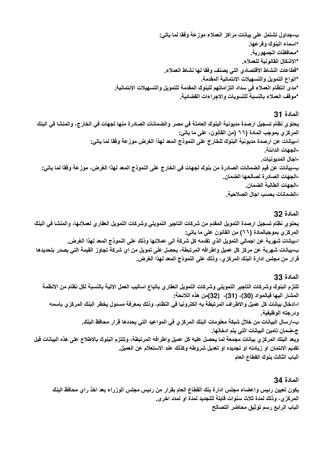ب-جداول تشتمل على بيانات مراكز العملاء موزعة وفقا لما ياتي: \*اسماء البنوك وفرعها. \*محافظات الجمهورية. \*الاشكال القانونية للعملاء. \*فطاعات النشاط الاقتصادي التي يصنف وفقا لها نشاط العملاء. \*انواع التمويل والتسهيلات الائتمانية المقدمة. \*مدى انتظام العملاء في سداد التزاماتهم للبنوك المقدمة للتمويل والتسهيلات الائتمانية. \*موقف العملاء بالنسبة للتسويات والاجراءات القضائية.

### المادة 31

يحتو ي نظام تسجيل ارصدة مديونية البنوك العاملة في مصر والضمانات الصادرة منها لجهات في الخارج، والمنشا في البنك المركز ي بموجب المادة (٦٦ (من القانون، على ما ياتي: ا-بيانات عن ارصدة مديونية البنوك للخارج على النموذج المعد لهذا الغرض موزعة وفقا لما ياتي: -الجهات الدائنة. -اجال المديونيات ب-بيانات عن قيم الضمانات الصادرة من بنوك لجهات في الخارج على النموذج المعد لهذا الغرض، موزعة وفقا لما ياتي: -الجهات الصادرة لصالحها الضمان. -الجهات الطالبة الضمان. -الضمانات بحسب اجال الصلاحية\_

#### المادة 32

يحتوى نظام تسجيل ارصدة التمويل المقدم من شركات التاجير التمويلي وشركات التمويل العقاري لعملائها، والمنشا في البنك المركز ي بموجبالمادة (٦٦) من القانون على ما ياتي: ا-بيانات شهرية عن اجمالي التمويل الذي تقدمه كل شركة الى عملائها وذلك على النموذج المعد لهذا الغرض. ب-بيانات شهرية عن مركز كل عميل واطرافه المرتبطة، يحصل على تمويل من اي شركة تجاوز القيمة التي يصدر بتحديدها قرار من مجلس ادارة البنك المركزي، وذلك على النموذج المعد لهذا الغرض.

### المادة 33

تلتزم البنوك وشركات التاجير التمويلى وشركات التمويل العقاري باتباع اساليب العمل الاتية بالنسبة لكل نظام من الانظمة المشار اليها فيالمواد (30)، (31)، (32)من هذه اللائحة: ا-ادخال بيانات كل عميل والاطراف المرتبطة به الكترونيا في النظام، وذلك بمعرفة مسئول يخطر البنك المركز ي باسمه ودرجته الوظيفية. ب-ارسال البيانات من خلال شبكة معلومات البنك المركزي في المواعيد التي يحددها قرار محافظ البنك. ج-ضمان تامين البيانات التي يتم ادخالها. ويعد البنك المركزي بيانات مجمعة لما يحصل عليه كل عميل واطرافه المرتبطة، وتلتزم البنوك بالاطلاع على هذه البيانات قبل تقديم الانتمان او زيادته او تجديده او تعديل شروطه وكذلك عند الاستعلام عن العميل. الباب الثالث بنوك القطاع العام

### المادة 34.

يكون تعيين رئيس واعضاء مجلس ادارة بنك القطاع العام بقرار من رئيس مجلس الوزراء بعد اخذ راى محافظ البنك المركزي، وذلك لمدة ثلاث سنوات قابلة للتجديد لمدة او لمدد اخرى. الباب الرابع رسم توثيق محاضر التصالح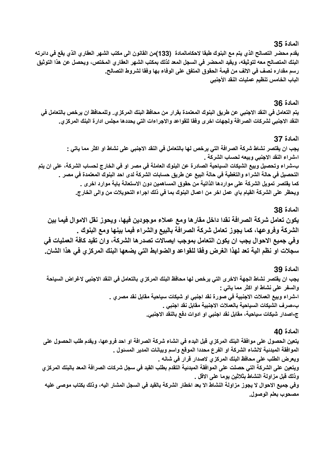#### المادة 35.

يقدم محضر التصالح الذي يتم مع البنوك طبقا لاحكامالمادة (133)من القانون الى مكتب الشهر العقاري الذي يقع في دائرته البنك المتصالح معه لتوثيقه، ويقيد المحضر في السجل المعد لذلك بمكتب الشهر العقاري المختص، ويحصل عن هذا التوثيق رسم مقداره نصف في الالف من قيمة الحقوق المتفق على الوفاء بها وفقا لشروط التصالح. الباب الخامس تنظيم عمليات النقد الأجنبي

#### المادة 36

يتم التعامل في النقد الاجنبي عن طريق البنوك المعتمدة بقرار من محافظ البنك المركزي. وللمحافظ ان يرخص بالتعامل في النقد الاجنبي لشركات الصرافة ولجهات اخرى وفقا للقواعد والاجراءات التي يحددها مجلس ادارة البنك المركزي.

#### المادة 37

يجب ان يقتصر نشاط شركة الصرافة التي يرخص لها بالتعامل في النقد الاجنبي على نشاط او اكثر مما ياتي : ا-شراء النقد الاجنبي وييعه لحساب الشركة . ب-شراع وتحصيل وبيع الشيكات السياحية الصادرة عن البنوك العاملة في مصر او في الخارج لحساب الشركة، على ان يتم التحصيل في حالة الشراء والتغطية في حالة البيع عن طريق حسابات الشركة لدى احد البنوك المعتمدة في مصر \_ كما يقتصر تمويل الشركة على مواردها الذاتية من حقوق المساهمين دون الاستعانة باية موارد اخرى . ويحظر على الشركة القيام باي عمل اخر من اعمال البنوك بما في ذلك اجراء التحويلات من والي الخارج.

#### المادة 38.

يكون تعامل شركة الصرافة نقدا داخل مقارها ومع عملاء موجودين فيها، ويحوز نقل الاموال فيما بين الشركة وفروعها، كما يجوز تعامل شركة الصرافة بالبيع والشراء فيما بينها ومع البنوك . وفي جميع الاحوال يجب ان يكون التعامل بموجب ايصالات تصدر ها الشركة، وان تقيد كافة العمليات في سجلات او نظم الية تعد لهذا الغرض وفقا للقواعد والضوابط التي يضعها البنك المركزي في هذا الشان.

#### المادة 39

يجب ان يقتصر نشاط الجهة الاخرى التي يرخص لها محافظ البنك المركزي بالتعامل في النقد الاجنبي لاغراض السياحة والسفر على نشاط او اكثر مما ياتي : ا-شراء وبيع العملات الاجنبية في صورة نقد اجنبي او شيكات سياحية مقابل نقد مصر ي . ب-صرف الشيكات السياحية بالعملات الاجنبية مقابل نقد اجنبى . ج-اصدار شيكات سياحية، مقابل نقد اجنبي او ادوات دفع بالنقد الاجنبي.

#### المادة 40

يتعين الحصول على موافقة البنك المركزي قبل البدء في انشاء شركة الصرافة او احد فروعها، ويقدم طلب الحصول على الموافقة المبدئية لانشاء الشركة او الفرع محددا الموقع واسم وبيانات المدير المسئول . ويعرض الطلب على محافظ البنك المركزي لاصدار قرار في شانه . ويتعين على الشركة التي حصلت على الموافقة المبدئية التقدم بطلب القيد في سجل شركات الصرافة المعد بالبنك المركزي وذلك قبل مزاولة النشاط بثلاثين يوما على الاقل . وفي جميع الاحوال لا يجوز مزاولة النشاط الا بعد اخطار الشركة بالقيد في السجل المشار اليه، وذلك بكتاب موصى عليه مصحوب بعلم الوصول.